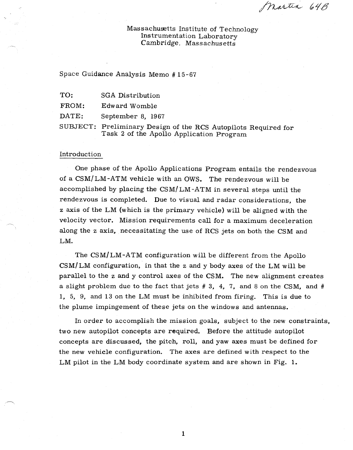Martin 64B

Massachusetts Institute of Technology Instrumentation Laboratory Cambridge, Massachusetts

Space Guidance Analysis Memo # 15-67

| TO:        | <b>SGA Distribution</b>     |  |
|------------|-----------------------------|--|
| FROM:      | Edward Womble               |  |
| DATE:      | September 8, 1967           |  |
| ATID TDRCH | The alberta are The College |  |

SUBJECT: Preliminary Design of the RCS Autopilots Required for Task 2 of the Apollo Application Program

#### Introduction

One phase of the Apollo Applications Program entails the rendezvous of a CSM/LM-ATM vehicle with an OWS. The rendezvous will be accomplished by placing the CSM/LM-ATM in several steps until the rendezvous is completed. Due to visual and radar considerations, the z axis of the LM (which is the primary vehicle) will be aligned with the velocity vector. Mission requirements call for a maximum deceleration along the z axis, necessitating the use of RCS jets on both the CSM and LM.

The CSM/LM-ATM configuration will be different from the Apollo  $CSM/LM$  configuration, in that the z and y body axes of the LM will be parallel to the z and y control axes of the CSM. The new alignment creates a slight problem due to the fact that jets  $# 3, 4, 7$ , and 8 on the CSM, and  $#$ 1, 5, 9, and 13 on the LM must be inhibited from firing. This is due to the plume impingement of these jets on the windows and antennas.

In order to accomplish the mission goals, subject to the new constraints, two new autopilot concepts are required. Before the attitude autopilot concepts are discussed, the pitch, roll, and yaw axes must be defined for the new vehicle configuration. The axes are defined with respect to the LM pilot in the LM body coordinate system and are shown in Fig. 1.

1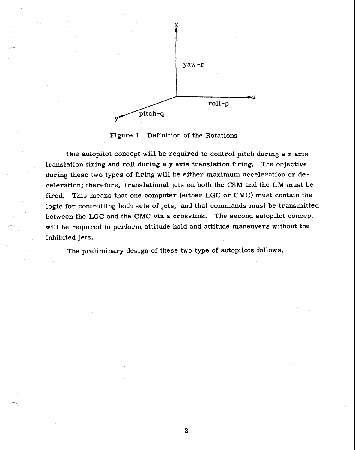

Figure 1 Definition of the Rotations

One autopilot concept will be required to control pitch during a z axis translation firing and roll during a y axis translation firing. The objective during these two types of firing will be either maximum acceleration or deceleration; therefore, translational jets on both the CSM and the LM must be fired. This means that one computer (either LGC or CMC) must contain the logic for controlling both sets of jets, and that commands must be transmitted between the LGC and the CMC via a crosslink. The second **autopilot concept**  will be required to perform attitude hold and attitude maneuvers without the inhibited jets.

The preliminary design of these two type of autopilots follows.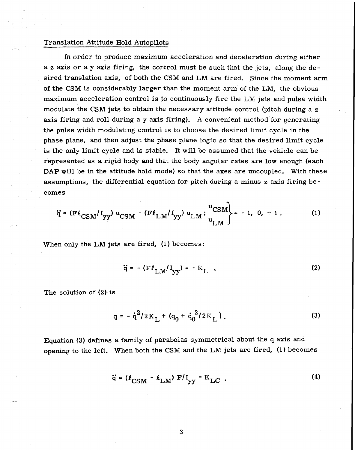### Translation Attitude Hold Autopilots

In order to produce maximum acceleration and deceleration during either a z axis or a y axis firing, the control must be such that the jets, along the desired translation axis, of both the CSM and LM are fired. Since the moment arm of the CSM is considerably larger than the moment arm of the LM, the obvious maximum acceleration control is to continuously fire the LM jets and pulse width modulate the CSM jets to obtain the necessary attitude control (pitch during a z axis firing and roll during a y axis firing). A convenient method for generating the pulse width modulating control is to choose the desired limit cycle in the phase plane, and then adjust the phase plane logic so that the desired limit cycle is the only limit cycle and is stable. It will be assumed that the vehicle can be represented as a rigid body and that the body angular rates are low enough (each DAP will be in the attitude hold mode) so that the axes are uncoupled. With these assumptions, the differential equation for pitch during a minus z axis firing becomes

$$
\ddot{q} = (F \ell_{CSM} / I_{yy}) u_{CSM} - (F \ell_{LM} / I_{yy}) u_{LM} ; \frac{u_{CSM}}{u_{LM}} = -1, 0, +1. \tag{1}
$$

When only the LM jets are fired, (1) becomes:

$$
\ddot{\mathbf{q}} = -(\mathbf{F}\boldsymbol{\ell}_{\text{LM}}/\mathbf{I}_{\text{yy}}) = -\mathbf{K}_{\text{L}} \quad . \tag{2}
$$

The solution of (2) is

$$
q = -\dot{q}^{2}/2K_{L} + (q_{0} + \dot{q}_{0}^{2}/2K_{L}).
$$
 (3)

Equation (3) defines a family of parabolas symmetrical about the q axis and opening to the left. When both the CSM and the LM jets are fired, (1) becomes

$$
\ddot{\mathbf{q}} = (\ell_{\text{CSM}} - \ell_{\text{LM}}) \mathbf{F} / \mathbf{I}_{\text{yy}} = \mathbf{K}_{\text{LC}} \tag{4}
$$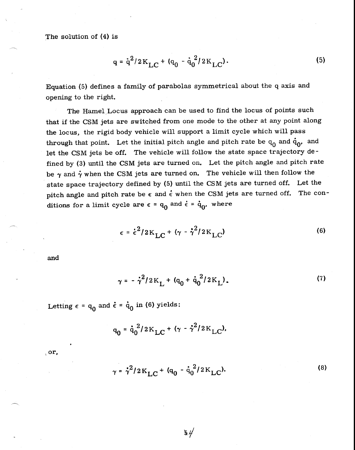$$
q = \dot{q}^2 / 2K_{LC} + (q_0 - \dot{q}_0^2 / 2K_{LC}).
$$
 (5)

Equation (5) defines a family of parabolas symmetrical about the q axis and opening to the right.

The Hamel Locus approach can be used to find the locus of points such that if the CSM jets are switched from one mode to the other at any point along the locus, the rigid body vehicle will support a limit cycle which will pass through that point. Let the initial pitch angle and pitch rate be  $q_0$  and  $\dot{q}_0$ , and let the CSM jets be off. The vehicle will follow the state space trajectory defined by (3) until the CSM jets are turned on. Let the pitch angle and pitch rate be  $\gamma$  and  $\dot{\gamma}$  when the CSM jets are turned on. The vehicle will then follow the state space trajectory defined by (5) until the CSM jets are turned off. Let the pitch angle and pitch rate be  $\epsilon$  and  $\dot{\epsilon}$  when the CSM jets are turned off. The conditions for a limit cycle are  $\epsilon = q_0$  and  $\dot{\epsilon} = \dot{q}_0$ , where

$$
\epsilon = \dot{\epsilon}^2 / 2 \mathrm{K}_{\mathrm{LC}} + (\gamma - \dot{\gamma}^2 / 2 \mathrm{K}_{\mathrm{LC}})
$$
 (6)

and

$$
\gamma = -\dot{\gamma}^2/2K_L + (q_0 + \dot{q}_0^2/2K_L). \tag{7}
$$

Letting  $\epsilon = \mathbf{q}_0$  and  $\dot{\epsilon} = \dot{\mathbf{q}}_0$  in (6) yields:

$$
q_0 = \dot{q}_0^2 / 2K_{LC} + (\gamma - \dot{\gamma}^2 / 2K_{LC}).
$$

or,

$$
\gamma = \dot{\gamma}^2 / 2 \, \text{K}_{\text{LC}} + (q_0 - \dot{q}_0^2 / 2 \, \text{K}_{\text{LC}}). \tag{8}
$$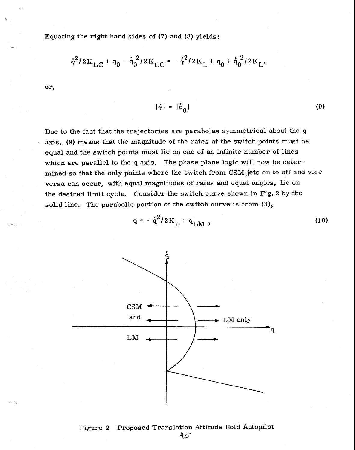Equating the right hand sides of (7) and (8) yields:

$$
\dot{\gamma}^2/2\mathrm{K}_{\mathrm{LC}}{}^+ \mathrm{q}_0 - \dot{\mathrm{q}}_0^2/2\mathrm{K}_{\mathrm{LC}}{}^-\bar{\gamma}^2/2\mathrm{K}_{\mathrm{L}}{}^+ \mathrm{q}_0 + \dot{\mathrm{q}}_0^2/2\mathrm{K}_{\mathrm{L}}.
$$

or,

$$
|\dot{\gamma}| = |\dot{q}_0| \tag{9}
$$

Due to the fact that the trajectories are parabolas symmetrical about the q axis, (9) means that the magnitude of the rates at the switch points must be equal and the switch points must lie on one of an infinite number of lines which are parallel to the q axis. The phase plane logic will now be determined so that the only points where the switch from CSM jets on to off and vice versa can occur, with equal magnitudes of rates and equal angles, lie on the desired limit cycle. Consider the switch curve shown in Fig. 2 by the solid line. The parabolic portion of the switch curve is from  $(3)$ ,

$$
q = -\dot{q}^2/2K_L + q_{LM} \t{,}
$$



# Figure 2 Proposed Translation Attitude Hold Autopilot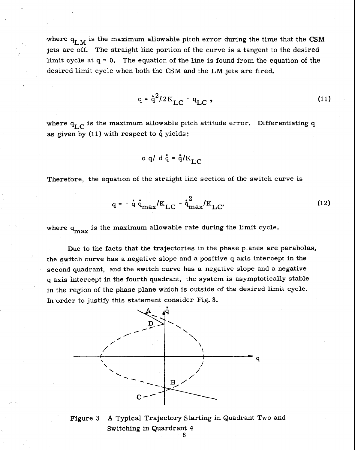where  $q_{I,M}$  is the maximum allowable pitch error during the time that the CSM jets are off. The straight line portion of the curve is a tangent to the desired limit cycle at  $q = 0$ . The equation of the line is found from the equation of the desired limit cycle when both the CSM and the LM jets are fired.

$$
q = \dot{q}^2 / 2K_{LC} - q_{LC} \tag{11}
$$

where  $q_{LC}$  is the maximum allowable pitch attitude error. Differentiating q as given by  $(11)$  with respect to q yields:

$$
d q/d \dot{q} = \dot{q}/K_{\text{LC}}
$$

Therefore, the equation of the straight line section of the switch curve is

$$
q = -\dot{q} \dot{q}_{max}/K_{LC} - \dot{q}_{max}^2/K_{LC}
$$
 (12)

where  $q_{\text{max}}$  is the maximum allowable rate during the limit cycle.

Due to the facts that the trajectories in the phase planes are parabolas, the switch curve has a negative slope and a positive q axis intercept in the second quadrant, and the switch curve has a negative slope and a negative q axis intercept in the fourth quadrant, the system is asymptotically stable in the region of the phase plane which is outside of the desired limit cycle. In order to justify this statement consider Fig. 3.



Figure 3 A Typical Trajectory Starting in Quadrant Two and Switching in Quardrant 4

6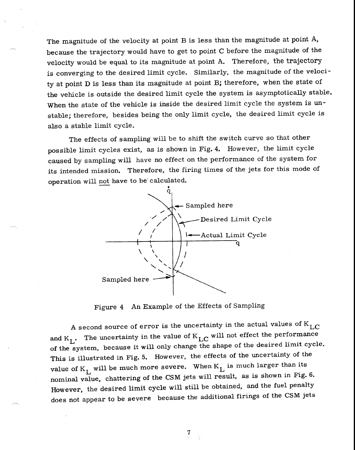The magnitude of the velocity at point B is less than the magnitude at point A, because the trajectory would have to get to point C before the magnitude of the velocity would be equal to its magnitude at point A. Therefore, the trajectory is converging to the desired limit cycle. Similarly, the magnitude of the velocity at point D is less than its magnitude at point B; therefore, when the state of the vehicle is outside the desired limit cycle the system is asymptotically stable. When the state of the vehicle is inside the desired limit cycle the system is unstable; therefore, besides being the only limit cycle, the desired limit cycle is also a stable limit cycle.

The effects of sampling will be to shift the switch curve so that other possible limit cycles exist, as is shown in Fig. 4. However, the limit cycle caused by sampling will have no effect on the performance of the system for its intended mission. Therefore, the firing times of the jets for this mode of operation will not have to be calculated.



Figure 4 An Example of the Effects of Sampling

A second source of error is the uncertainty in the actual values of  $K_{L,C}$ and  $K_L$ . The uncertainty in the value of  $K_{LC}$  will not effect the performance of the system, because it will only change the shape of the desired limit cycle. This is illustrated in Fig. 5. However, the effects of the uncertainty of the value of  $K_L$  will be much more severe. When  $K_L$  is much larger than its nominal value, chattering of the CSM jets will result, as is shown in Fig. 6. However, the desired limit cycle will still be obtained, and the fuel penalty does not appear to be severe because the additional firings of the CSM jets

7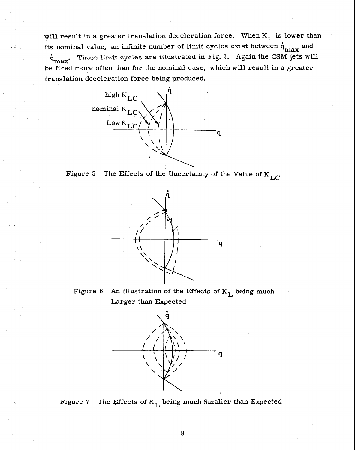will result in a greater translation deceleration force. When  $K_L$  is lower than its nominal value, an infinite number of limit cycles exist between  $\dot{\text{q}}_\text{max}$  and  $q_{\text{max}}$ . These limit cycles are illustrated in Fig. 7. Again the CSM jets will be fired more often than for the nominal case, which will result in a greater translation deceleration force being produced.







Figure 6 An Illustration of the Effects of  $K_L$  being much Larger than Expected



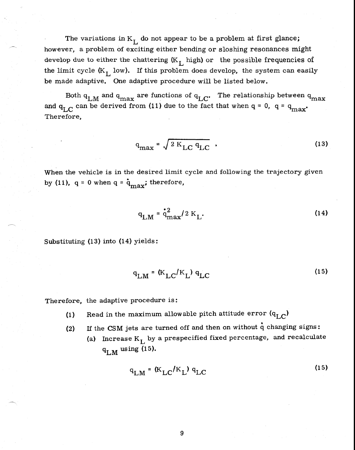The variations in  $K_L$  do not appear to be a problem at first glance; however, a problem of exciting either bending or sloshing resonances might develop due to either the chattering  $(K_L)$  high) or the possible frequencies of the limit cycle  $(K_L)$  low). If this problem does develop, the system can easily be made adaptive. One adaptive procedure will be listed below.

Both  $q_{LM}$  and  $q_{max}$  are functions of  $q_{LC}$ . The relationship between  $q_{max}$ and  $q_{I.C}$  can be derived from (11) due to the fact that when  $q = 0$ ,  $q = q_{max}$ . Therefore,

$$
q_{\text{max}} = \sqrt{2 K_{LC} q_{LC}} \tag{13}
$$

When the vehicle is in the desired limit cycle and following the trajectory given by (11),  $q = 0$  when  $q = \dot{q}_{max}$ ; therefore,

$$
q_{LM} = \dot{q}_{max}^2 / 2 K_L.
$$
 (14)

Substituting (13) into (14) yields:

$$
q_{LM} = (K_{LC}/K_L) q_{LC}
$$
 (15)

Therefore, the adaptive procedure is:

- (1) Read in the maximum allowable pitch attitude error  $(q_{L,C})$
- (2) If the CSM jets are turned off and then on without  $\dot{q}$  changing signs:
	- (a) Increase  $K_{\text{L}}$  by a prespecified fixed percentage, and recalculate  $q_{LM}$  using (15).

$$
q_{LM} = (K_{LC}/K_L) q_{LC}
$$
 (15)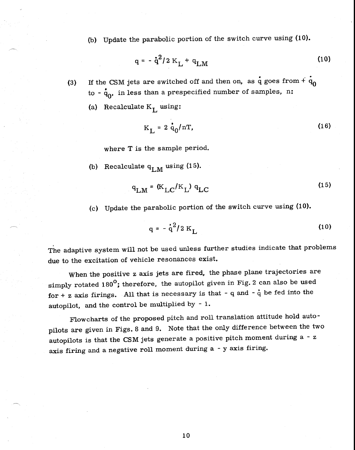(b) Update the parabolic portion of the switch curve using (10).

$$
q = -\dot{q}^2/2 K_L + q_{LM}
$$
 (10)

- (3) If the CSM jets are switched off and then on, as  $\dot{q}$  goes from  $+\dot{q}_0$  $\dot{q}_0$  -  $\dot{q}_0$ , in less than a prespecified number of samples, n:
	- (a) Recalculate  $K_L$  using:

$$
K_{\rm L} = 2 \dot{q}_0 / nT, \qquad (16)
$$

where T is the sample period.

(b) Recalculate  $q_{LM}$  using (15).

$$
q_{LM} = (K_{LC}/K_L) q_{LC}
$$
 (15)

(c) Update the parabolic portion of the switch curve using (10).

$$
q = -\dot{q}^2/2 K_L
$$
 (10)

The adaptive system will not be used unless further studies indicate that problems due to the excitation of vehicle resonances exist.

When the positive z axis jets are fired, the phase plane trajectories are simply rotated 180 $^{\circ}$ ; therefore, the autopilot given in Fig. 2 can also be used for  $+ z$  axis firings. All that is necessary is that  $- q$  and  $- \dot{q}$  be fed into the autopilot, and the control be multiplied by - 1.

Flowcharts of the proposed pitch and roll translation attitude hold autopilots are given in Figs. 8 and 9. Note that the only difference between the two autopilots is that the CSM jets generate a positive pitch moment during a  $- z$ axis firing and a negative roll moment during a - y axis firing.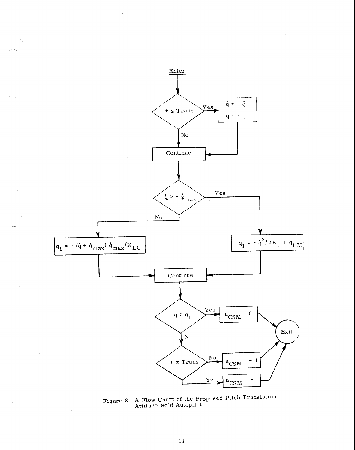

Figure 8 A Flow Chart of the Proposed Pitch Translation Attitude Hold Autopilo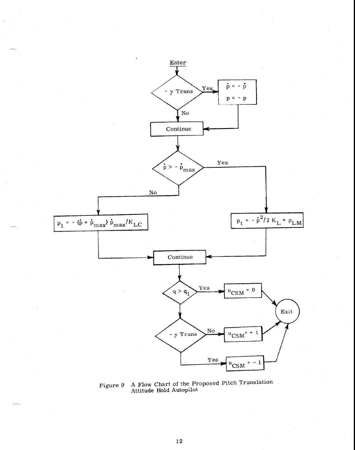

*Figure* 9 A Flow Chart of the Proposed Pitch Translation Attitude Hold Autopilot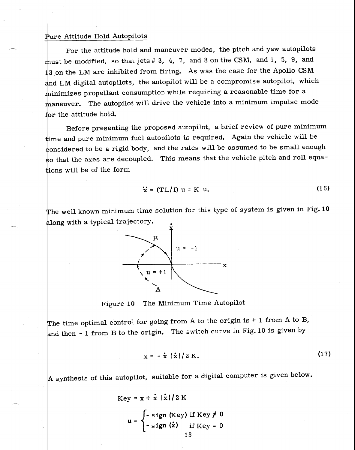### Pure Attitude Hold Autopilots

For the attitude hold and maneuver modes, the pitch and yaw autopilots must be modified, so that jets  $# 3, 4, 7$ , and 8 on the CSM, and 1, 5, 9, and 13 on the LM are inhibited from firing. As was the case for the Apollo CSM and LM digital autopilots, the autopilot will be a compromise autopilot, which inimizes propellant consumption while requiring a reasonable time for a aneuver. The autopilot will drive the vehicle into a minimum impulse mode for the attitude hold.

Before presenting the proposed autopilot, a brief review of pure minimum ime and pure minimum fuel autopilots is required. Again the vehicle will be onsidered to be a rigid body, and the rates will be assumed to be small enough so that the axes are decoupled. This means that the vehicle pitch and roll equaions will be of the form

$$
\dot{x} = (TL/I) u = K u.
$$
 (16)

The well known minimum time solution for this type of system is given in Fig. 10 along with a typical trajectory.



Figure 10 The Minimum Time Autopilot

The time optimal control for going from A to the origin is  $+1$  from A to B, and then - 1 from B to the origin. The switch curve in Fig. 10 is given by

$$
\mathbf{x} = -\dot{\mathbf{x}} \, |\dot{\mathbf{x}}| / 2 \, \mathrm{K}.\tag{17}
$$

A synthesis of this autopilot, suitable for a digital computer is given below.

Key = 
$$
\mathbf{x} + \dot{\mathbf{x}} |\dot{\mathbf{x}}| / 2 \text{ K}
$$
  
u = 
$$
\begin{cases} -\text{sign (Key) if Key} \neq 0 \\ -\text{sign (\dot{\mathbf{x}})} & \text{if Key} = 0 \end{cases}
$$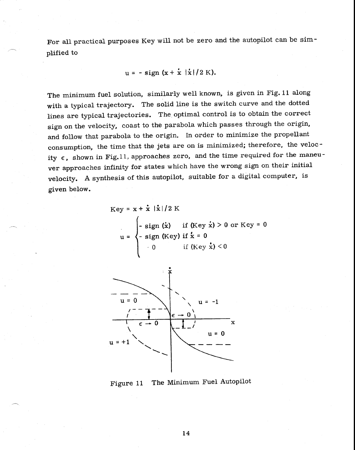For all practical purposes Key will not be zero and the autopilot can be simplified to

 $u = - \text{sign}(x + x / x)/2 K$ .

The minimum fuel solution, similarly well known, is given in Fig. 11 along with a typical trajectory. The solid line is the switch curve and the dotted lines are typical trajectories. The optimal control is to obtain the correct sign on the velocity, coast to the parabola which passes through the origin, and follow that parabola to the origin. In order to minimize the propellant consumption, the time that the jets are on is minimized; therefore, the velocity  $\epsilon$ , shown in Fig.11, approaches zero, and the time required for the maneuver approaches infinity for states which have the wrong sign on their initial velocity. A synthesis of this autopilot, suitable for a digital computer, is given below.

Key = 
$$
x + \dot{x} |\dot{x}|/2 K
$$
  
\n $u = \begin{cases}\n-\text{sign}(\dot{x}) & \text{if (Key } \dot{x}) > 0 \text{ or Key } = 0 \\
-\text{sign (Key) if } \dot{x} = 0 \\
0 & \text{if (Key } \dot{x}) < 0\n\end{cases}$ 



Figure 11 The Minimum Fuel Autopilot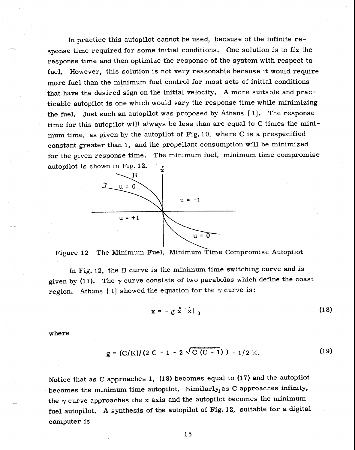In practice this autopilot cannot be used, because of the infinite response time required for some initial conditions. One solution is to fix the response time and then optimize the response of the system with respect to fuel. However, this solution is not very reasonable because it would require more fuel than the minimum fuel control for most sets of initial conditions that have the desired sign on the initial velocity. A more suitable and practicable autopilot is one which would vary the response time while minimizing the fuel. Just such an autopilot was proposed by Athans [1]. The response time for this autopilot will always be less than are equal to C times the minimum time, as given by the autopilot of Fig. 10, where C is a prespecified constant greater than 1, and the propellant consumption will be minimized for the given response time. The minimum fuel, minimum time compromise autopilot is shown in Fig. 12.



Figure 12 The Minimum Fuel, Minimum Time Compromise Autopilot

In Fig. 12, the B curve is the minimum time switching curve and is given by (17). The  $\gamma$  curve consists of two parabolas which define the coast region. Athans [1] showed the equation for the  $\gamma$  curve is:

$$
\mathbf{x} = -\mathbf{g} \times |\mathbf{x}| \tag{18}
$$

where

$$
g = (C/K)/(2 C - 1 - 2 \sqrt{C (C - 1)}) - 1/2 K.
$$
 (19)

Notice that as C approaches 1, (18) becomes equal to (17) and the autopilot becomes the minimum time autopilot. Similarly, as C approaches infinity, the  $\gamma$  curve approaches the x axis and the autopilot becomes the minimum fuel autopilot. A synthesis of the autopilot of Fig. 12, suitable for a digital computer is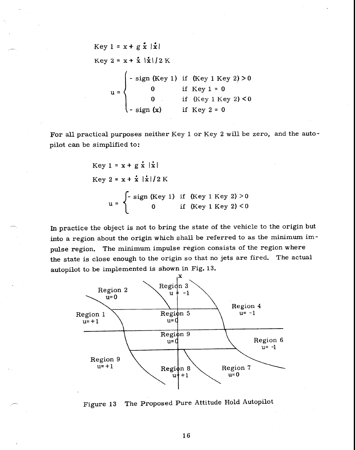Key 
$$
1 = x + g \hat{x} |\hat{x}|
$$
  
\nKey  $2 = x + \hat{x} |\hat{x}| / 2 K$   
\n $u =\begin{cases}\n-\text{sign (Key 1) if (Key 1 Key 2) > 0} \\
0 & \text{if Key 1 = 0} \\
0 & \text{if (Key 1 Key 2) < 0} \\
-\text{sign (x)} & \text{if Key 2 = 0}\n\end{cases}$ 

For all practical purposes neither Key 1 or Key 2 will be zero, and the autopilot can be simplified to:

Key 1 = x + g 
$$
\dot{x}
$$
 |  $\dot{x}$ |  
Key 2 = x +  $\dot{x}$  |  $\dot{x}$  | / 2 K  
u = 
$$
\begin{cases} -\text{sign (Key 1) if (Key 1 Key 2) > 0} \\ 0 & \text{if (Key 1 Key 2) < 0} \end{cases}
$$

In practice the object is not to bring the state of the vehicle to the origin but into a region about the origin which shall be referred to as the minimum impulse region. The minimum impulse region consists of the region where the state is close enough to the origin so that no jets are fired. The actual autopilot to be implemented is shown in Fig. 13.



Figure 13 The Proposed Pure Attitude Hold Autopilot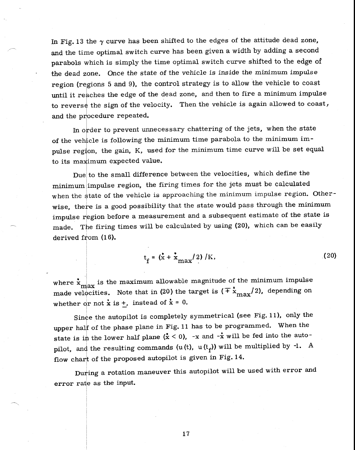In Fig. 13 the  $\gamma$  curve has been shifted to the edges of the attitude dead zone, and the time optimal switch curve has been given a width by adding a second parabols which is simply the time optimal switch curve shifted to the edge of the dead zone. Once the state of the vehicle is inside the minimum impulse region (regions 5 and 9), the control strategy is to allow the vehicle to coast until it reaches the edge of the dead zone, and then to fire a minimum impulse to reverse the sign of the velocity. Then the vehicle is again allowed to coast, and the procedure repeated.

In order to prevent unnecessary chattering of the jets, when the state of the veh'cle is following the minimum time parabola to the minimum impulse region, the gain, K, used for the minimum time curve will be set equal to its maximum expected value.

Due to the small difference between the velocities, which define the minimum impulse region, the firing times for the jets must be calculated when the state of the vehicle is approaching the minimum impulse region. Otherwise, there is a good possibility that the state would pass through the minimum impulse region before a measurement and a subsequent estimate of the state is made. The firing times will be calculated by using (20), which can be easily derived from (16).

$$
t_f = (\mathbf{\dot{x}} + \mathbf{\dot{x}}_{\text{max}}/2) / K, \qquad (20)
$$

where  $\dot{x}_{\text{max}}$  is the maximum allowable magnitude of the minimum impulse made velocities. Note that in (20) the target is  $(\pm \dot{x}_{\text{max}}/2)$ , depending on whether or not  $\dot{x}$  is  $\dot{+}$ , instead of  $\dot{x} = 0$ .

Since the autopilot is completely symmetrical (see Fig. 11), only the upper half of the phase plane in Fig. 11 has to be programmed. When the state is in the lower half plane  $(\dot{x} < 0)$ , -x and -x will be fed into the autopilot, and the resulting commands (u(t), u(t<sub>f</sub>)) will be multiplied by -1. A flow chart of the proposed autopilot is given in Fig. 14.

During a rotation maneuver this autopilot will be used with error and error rate as the input.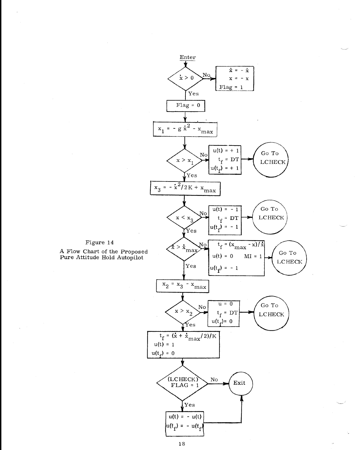

A Flow Chart of the Proposed Pure Attitude Hold Autopilot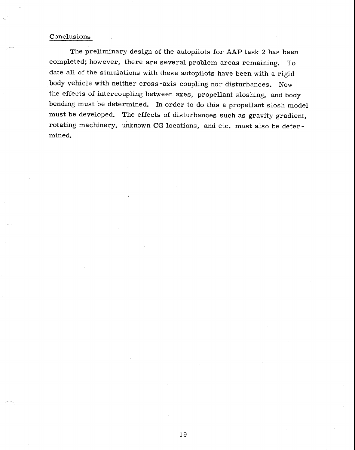### Conclusions

The preliminary design of the autopilots for AAP task 2 has been completed; however, there are several problem areas remaining. To date all of the simulations with these autopilots have been with a rigid body vehicle with neither cross-axis coupling nor disturbances. Now the effects of intercoupling between axes, propellant sloshing, and body bending must be determined. In order to do this a propellant slosh model must be developed. The effects of disturbances such as gravity gradient, rotating machinery, unknown CG locations, and etc. must also be determined.